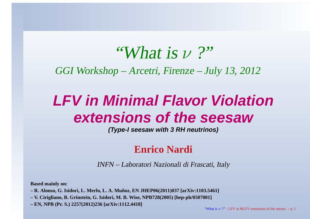# "What is  $\nu$  ?"

GGI Workshop – Arcetri, Firenze – July 13, 2012

### **LFV in Minimal Flavor Violationextensions of the seesaw**

**(Type-I seesaw with 3 RH neutrinos)**

### **Enrico Nardi**

INFN – Laboratori Nazionali di Frascati, Italy

**Based mainly on:**

- R. Alonso, G. Isidori, L. Merlo, L. A. Muñoz, EN JHEP06(2011)037 [arXiv:1103.5461]
- V. Cirigliano, B. Grinstein, G. Isidori, M. B. Wise, NPB728(2005) [hep-ph/0507001]
- **– EN, NPB (Pr. S.) 2257(2012)236 [arXiv:1112.4418]**

"What is  $\nu$  ?" - LFV in MLFV extensions of the seesaw – p. 1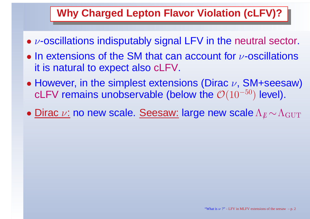### **Why Charged Lepton Flavor Violation (cLFV)?**

- $\bullet$   $\nu$ -oscillations indisputably signal LFV in the neutral sector.
- $\bullet$ • In extensions of the SM that can account for  $\nu$ -oscillations it is natural to expect also cLFV.
- $\bullet$ • However, in the simplest extensions (Dirac  $\nu$ , SM+seesaw) cLFV remains unobservable (below the  $\mathcal{O}(10^{-50}$  $^{\mathrm{0}})$  level).
- <u>Dirac ν:</u> no new scale. <u>Seesaw:</u> large new scale Λ  $\mathbb{\mu}$   $\sim$  $\Lambda_{\rm GUT}$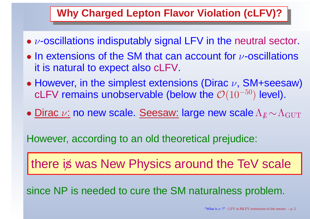### **Why Charged Lepton Flavor Violation (cLFV)?**

- $\bullet$   $\nu$ -oscillations indisputably signal LFV in the neutral sector.
- $\bullet$ • In extensions of the SM that can account for  $\nu$ -oscillations it is natural to expect also cLFV.
- $\bullet$ • However, in the simplest extensions (Dirac  $\nu$ , SM+seesaw) cLFV remains unobservable (below the  $\mathcal{O}(10^{-50}$  $^{\mathrm{0}})$  level).
- <u>Dirac ν:</u> no new scale. <u>Seesaw:</u> large new scale Λ  $\mathbb{\mu}$   $\sim$  $\Lambda_{\rm GUT}$

However, according to an old theoretical prejudice:

there is was New Physics around the TeV scale

since NP is needed to cure the SM naturalness problem.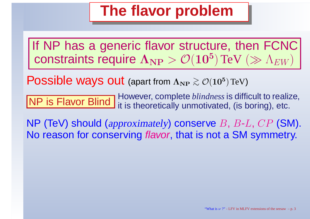### **The flavor problem**

If NP has <sup>a</sup> generic flavor structure, then FCNCconstraints require  $\Lambda_{\rm NP}>\mathcal{O}(10^5$  $^{\bf 5})\,{\rm TeV}\,\left(\gg\Lambda_{EW}\right)$ 

 $\textsf{Possible} \text{ }$  ways out (apart from  $\Lambda_{\text{NP}}\gtrsim\mathcal{O}(10^5)$  $^{5})$  TeV)

and the company of the state of the state NP is Flavor Blind However, complete *blindness* is difficult to realize, NP is Flavor Blind it is theoretically unmotivated, (is boring), etc.

NP (TeV) should (approximately) conserve  $B,\,B$  $\bigcap$   $\bigcap$   $\bigcap$ -No reason for conserving *flavor*, that is not a SM symmetry.  $L, \, CP$  (SM).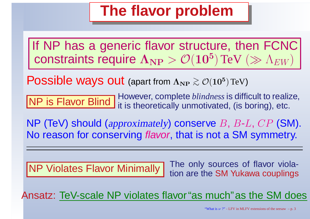### **The flavor problem**

If NP has a generic flavor structure, then FCNC constraints require  $\Lambda_{\rm NP}>\mathcal{O}(10^5$  $^{\bf 5})\,{\rm TeV}\,\left(\gg\Lambda_{EW}\right)$ 

 $\textsf{Possible} \text{ }$  ways out (apart from  $\Lambda_{\text{NP}}\gtrsim\mathcal{O}(10^5)$  $^{5})$  TeV)

NP is Flavor Blind However, complete *blindness* is difficult to realize, NP is Flavor Blind it is theoretically unmotivated, (is boring), etc.

NP (TeV) should (approximately) conserve  $B,\,B$  $\bigcap$   $\bigcap$   $\bigcap$ -No reason for conserving *flavor*, that is not a SM symmetry.  $L, \, CP$  (SM).

NP Violates Flavor Minimally

The only sources of flavor viola-<br>V tion are the SM Yukawa couplings

Ansatz: TeV-scale NP violates flavor"as much"as the SM does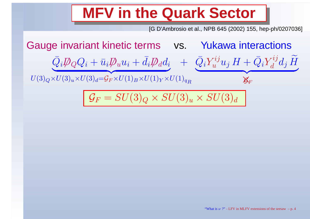### **MFV in the Quark Sector**

[G D'Ambrosio et al., NPB 645 (2002) 155, hep-ph/0207036]

Gauge invariant kinetic terms vs. Yukawa interactions  $\bar{Q}_i\rlap{\,/}D$  $\not\!\!D_Q Q_i + \bar u_i \not\!\!D$  $U(3)_Q\times U(3)_u\times U(3)_d = \mathcal{G}_F\times U(1)_B\times U(1)_Y\times U(1)_{q_R}$  $u \$  $\boldsymbol{u}$ i  $+\,\bar d$  $_{i}D\!\!\!\!/$  $\emph{d}$  $d\,$  $Q_i \psi_Q Q_i + u_i \psi_u u_i + u_i \psi_d u_i$  $+$   $\bar{Q}_i$  $Y_u^{ij}$  $\mathop u\limits^{\circ}\nolimits u$  $\boldsymbol{j}$  $H+\bar{Q}_i$  $Y_d^{ij}d_j$  $\widetilde{H}$  | {z} $\mathcal{G}_F$ 

$$
\mathcal{G}_F = SU(3)_Q \times SU(3)_u \times SU(3)_d
$$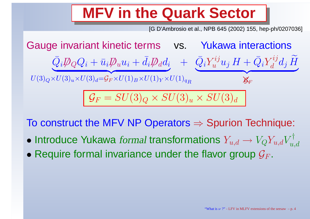## **MFV in the Quark Sector**

[G D'Ambrosio et al., NPB 645 (2002) 155, hep-ph/0207036]

Gauge invariant kinetic terms vs. Yukawa interactions  $\bar{Q}_i\rlap{\,/}D$  $\not\!\!D_Q Q_i + \bar u_i \not\!\!D$  $u \$  $\boldsymbol{u}$ i  $+\,\bar d$  $_{i}D\!\!\!\!/$  $\emph{d}$  $d\,$  $Q_i \psi_Q Q_i + u_i \psi_u u_i + u_i \psi_d u_i$  $U(3)_Q\times U(3)_u\times U(3)_d = \mathcal{G}_F\times U(1)_B\times U(1)_Y\times U(1)_{q_R}$  $+$   $\bar{Q}_i$  $Y_u^{ij}$  $\mathop u\limits^{\circ}\nolimits u$  $\boldsymbol{j}$  $H+\bar{Q}_i$  $Y_d^{ij}d_j$  $\widetilde{H}$  | {z} $\mathcal{G}_F$  $\mathcal{G}_F=$  $= SU(3)$  $Q \times SU(3)$  $u \times SU(3)$  $\emph{d}$ 

To construct the MFV NP Operators ⇒ Spurion Technique:

- $\bullet$  Introduce Yukawa formal transformations  $Y_{u,d}\rightarrow V_QY_{u,d}V_q$  $\stackrel{\text{+}}{u},d$
- $\bullet$  Require formal invariance under the flavor group  $\mathcal{G}_F$ .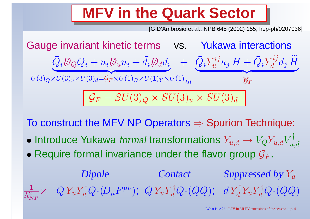### **MFV in the Quark Sector**

[G D'Ambrosio et al., NPB 645 (2002) 155, hep-ph/0207036]

Gauge invariant kinetic terms vs. Yukawa interactions  $\bar Q_i D\!\!\!\!/\, _Q Q_i + \bar u_i D\!\!\!\!/\, _u u_i$  $U(3)_Q\times U(3)_u\times U(3)_d = \mathcal{G}_F\times U(1)_B\times U(1)_Y\times U(1)_{q_R}$  $\bar Q_i \rlap{\,/}D_Q Q_i + \bar u_i \rlap{\,/}D_u u_i + \bar d_i \rlap{\,/}D_d d_i$  $+$   $\bar{Q}_i$  $Y_u^{ij}$  $u^{''J}u_{j}$  $H+\bar{Q}_i$  $Y_d^{ij}d_j$  $\widetilde{H}$  |}<u>za započela programa programa programa programa programa programa programa programa programa programa programa programa programa programa programa programa programa programa programa programa programa programa programa pr</u>  $\mathcal{G}_F$  $\mathcal{G}_F=$  $= SU(3)$  $Q \times SU(3)$  $u \times SU(3)$  $\emph{d}$ 

To construct the MFV NP Operators ⇒ Spurion Technique:

- $\bullet$  Introduce Yukawa formal transformations  $Y_{u,d}\rightarrow V_QY_{u,d}V_q$  $\stackrel{\text{+}}{u},d$
- $\bullet$  Require formal invariance under the flavor group  $\mathcal{G}_F$ .

Dipole Contact  $1$  ,  $\bar{\Omega}$ vyta (D EUV),  $\bar{\Omega}$ vyta ( $\bar{\Omega}$ a), Jytyyta ( $\bar{\Omega}$ a Suppressed by  $Y_d$  $\Lambda^2$  $NP$  $\times \;\; \bar{Q}\,Y_u$  $Y_{\cdot}$  $\iota_u^{\dagger} Q\!\cdot\!(\!D_{\mu}%$  $F^{\mu\nu});\,\,\bar Q\,Y_u$  $Y_\cdot$  $i_u^{\dagger} Q\!\cdot\!(\bar{Q}Q);$  $\bar{d}$  $Y\,$  $_d^\dagger Y_u$  $Y_{\cdot}$  $i_u^\dagger Q\!\cdot\!(\bar{Q}Q)$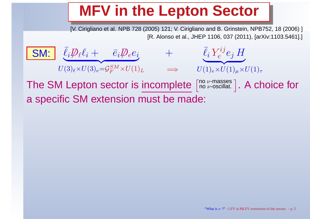### **MFV in the Lepton Sector**

[V. Cirigliano et al. NPB 728 (2005) 121; V. Cirigliano and B. Grinstein, NPB752, 18 (2006) ] [R. Alonso et al., JHEP 1106, 037 (2011), [arXiv:1103.5461].]

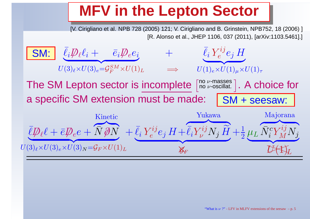### **MFV in the Lepton Sector**

[V. Cirigliano et al. NPB 728 (2005) 121; V. Cirigliano and B. Grinstein, NPB752, 18 (2006) ] [R. Alonso et al., JHEP 1106, 037 (2011), [arXiv:1103.5461].]

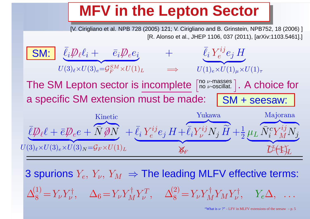### **MFV in the Lepton Sector**

[V. Cirigliano et al. NPB 728 (2005) 121; V. Cirigliano and B. Grinstein, NPB752, 18 (2006) ] [R. Alonso et al., JHEP 1106, 037 (2011), [arXiv:1103.5461].]

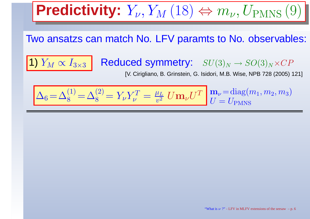**Predicity:** 
$$
Y_{\nu}
$$
,  $Y_M$  (18)  $\Leftrightarrow m_{\nu}$ ,  $U_{\text{PMNS}}$  (9)

Two ansatzs can match No. LFV paramts to No. observables:

1)  $Y_M \propto I_{3\times 3}$  Reduced symmetry:  $SU(3)_N\rightarrow SO(3)_N\times CP$ <br>SU(3) $_N\rightarrow SO(3)_N\times CP$ 

[V. Cirigliano, B. Grinstein, G. Isidori, M.B. Wise, NPB 728 (2005) 121]

 $\Delta_6 = \Delta_8^{(1)} = \Delta_8^{(2)} = Y_\nu Y_\nu^T = \frac{\mu_L}{v^2} U \mathbf{m}_\nu U^T \begin{bmatrix} \mathbf{m}_\nu = \text{diag}(m_1, m_2, m_3) \\ U = U_{\text{PMNS}} \end{bmatrix}$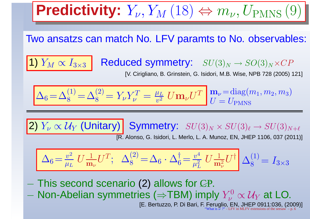**Predicity:** 
$$
Y_{\nu}
$$
,  $Y_M$  (18)  $\Leftrightarrow m_{\nu}$ ,  $U_{\text{PMNS}}$  (9)

Two ansatzs can match No. LFV paramts to No. observables:

 $\overline{M} \propto I_{3\times3}$  Reduced symmetry:  $SU(3)_N \rightarrow SO(3)_N\times CP$ <br>SU Citaliano B Grinstein G Isidori M.B. Wise NPB 728 (2005) 1

[V. Cirigliano, B. Grinstein, G. Isidori, M.B. Wise, NPB 728 (2005) 121]

 $\Delta_6 = \Delta_8^{(1)} = \Delta_8^{(2)} = Y_\nu Y_\nu^T = \frac{\mu_L}{v^2} U \mathbf{m}_\nu U^T \begin{bmatrix} \mathbf{m}_\nu = \text{diag}(m_1, m_2, m_3) \\ U = U_{\text{PMNS}} \end{bmatrix}$ 

 $2) Y_{\nu} \propto \mathcal{U}_{Y}$  (Unitary) Symmetry:  $SU(3)_{N} \times SU(3)_{\ell} \rightarrow SU(3)_{N+\ell}$ [R. Alonso, G. Isidori, L. Merlo, L. A. Munoz, EN, JHEP 1106, 037 (2011)]

$$
\Delta_6 = \frac{v^2}{\mu_L} U \frac{1}{m_\nu} U^T; \quad \Delta_8^{(2)} = \Delta_6 \cdot \Delta_6^\dagger = \frac{v^4}{\mu_L^2} U \frac{1}{m_\nu^2} U^\dagger \Delta_8^{(1)} = I_{3 \times 3}
$$

−This second scenario (2) allows for CP.

1)  $Y_{M}$ 

−Non-Abelian symmetries ( $\Rightarrow$ TBM) imply  $Y_{\nu}^0 \propto U_Y$  at LO.

[E. Bertuzzo, P. Di Bari, F. Feruglio, EN, JHEP 0911:036, (2009)] s  $\bar{\nu}$  ?" - LFV in MLFV extensions of the seesaw – p. 6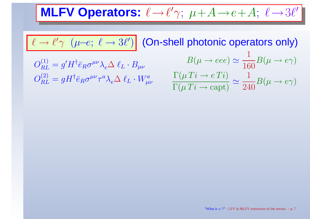**MLFV Operators:**ℓ→ℓ′ $\gamma;\,\,\mu\!+\!A\!\to\!e\!+\!A;\,\,\ell$  $\rightarrow$  3l'

$$
\ell \rightarrow \ell' \gamma \ (\mu-e; \ \ell \rightarrow 3 \ell') \text{ (On-shell photonic operators only)}
$$

 $O_{RL}^{\left( 1\right) }$  $O_{RL}^{(2)}=gH^\dagger \bar e_R \sigma^{\mu\nu}\tau^a$  )  $=g'H^\dagger \bar e_R \sigma^{\mu\nu} \lambda_e \Delta \; \ell_L$  $_L\cdot B_{\mu\nu}$  $= gH^{\dagger} \bar{e}_R \sigma^{\mu\nu} \tau^a$  $^{a}\lambda_{e}\Delta~\ell_{L}$  $_L\cdot W^a_{\mu\nu}$  $\mu\nu$ 

$$
B(\mu \to eee) \simeq \frac{1}{160} B(\mu \to e\gamma)
$$

$$
\frac{\Gamma(\mu Ti \to eTi)}{\Gamma(\mu Ti \to \text{capt})} \simeq \frac{1}{240} B(\mu \to e\gamma)
$$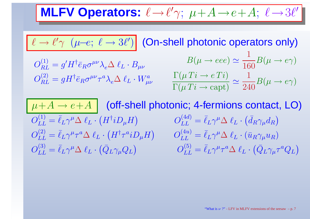**MLFV Operators:**ℓ→ℓ′ $\gamma;\,\,\mu\!+\!A\!\to\!e\!+\!A;\,\,\ell$  $\rightarrow$  3l'

$$
\ell \to \ell' \gamma \ (\mu - e; \ \ell \to 3 \ell') \text{ (On-shell photonic operators only)}
$$

$$
O_{RL}^{(1)} = g'H^{\dagger} \bar{e}_R \sigma^{\mu\nu} \lambda_e \Delta \ell_L \cdot B_{\mu\nu}
$$

$$
O_{RL}^{(2)} = gH^{\dagger} \bar{e}_R \sigma^{\mu\nu} \tau^a \lambda_e \Delta \ell_L \cdot W_{\mu\nu}^a
$$

$$
B(\mu \to eee) \simeq \frac{1}{160} B(\mu \to e\gamma)
$$

$$
\frac{\Gamma(\mu Ti \to e Ti)}{\Gamma(\mu Ti \to \text{capt})} \simeq \frac{1}{240} B(\mu \to e\gamma)
$$

 $\frac{\mu+A\to e+A}{\mu}$  (off-shell photonic; 4-fermions contact, LO)  $O^{(1)}_{LL} = \bar{\ell}_L \gamma^\mu A$  $O_{LL}^{(2)} = \bar \ell_L \gamma^\mu \tau^a \Delta \; \ell_L \cdot \big( H^\dagger \tau^a$ = $\bar{\ell}_L \gamma^\mu \Delta~\ell_L \cdot \left( H^\dagger i D_\mu H \right)$  $O_{LL}^{(3)} = \bar \ell_L \gamma^\mu \Delta \ \ell_L \cdot \big(\bar Q_L \gamma_\mu Q_L$ = $\bar{\ell}_L\gamma^\mu\tau^a$  $^{a}\Delta~\ell_{L}\cdot\left( H^{\dagger}\tau^{a}iD_{\mu}H\right)$ = $\bar{\ell}_L \gamma^\mu \Delta~\ell_L \cdot \left( \bar{Q}_L \gamma_\mu Q_L \right)$  $O_{LL}^{(4d)}=% \begin{bmatrix} \omega_{0}-i\frac{\gamma_{\rm{QE}}}{2} & g_{\rm{d}} & g_{\rm{d}} & g_{\rm{d}} & g_{\rm{d}} & g_{\rm{d}} & g_{\rm{d}} & g_{\rm{d}} & g_{\rm{d}} & g_{\rm{d}} & g_{\rm{d}} & g_{\rm{d}} & g_{\rm{d}} & g_{\rm{d}} & g_{\rm{d}} & g_{\rm{d}} & g_{\rm{d}} & g_{\rm{d}} & g_{\rm{d}} & g_{\rm{d}} & g_{\rm{d}} & g_{\rm{d}} & g_{\rm{d}} & g_{\rm{d}} &$  $O^{(4u)}_{LL}=\bar \ell_L \gamma^\mu \Delta~\ell_L \cdot (\bar u_R \gamma_\mu u)$  $\bar{\ell}_L\gamma^\mu \Delta~\ell_L\cdot \left(\bar{d}_R\gamma_\mu d_R\right)$  $O_{LL}^{(5)} = \bar{\ell}_L \gamma^\mu \tau^a \Delta \; \ell_L \cdot (\bar{Q}_L \gamma)$  $\bar{\ell}_L \gamma^\mu \Delta \; \ell_L$  $_L\cdot (\bar{u}$  $_R\gamma_\mu u_R)$ = $\bar{\ell}_L \gamma^\mu \tau^a$  ${^a\Delta}$   $\ell_L \cdot \left( \bar{Q}_L \gamma_\mu \tau^a \right)$  ${}^aQ_L\big)$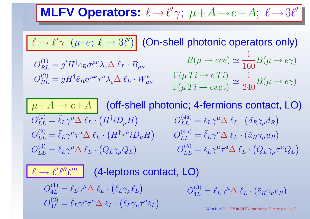**MLFV Operators:**ℓ→ℓ′ $\gamma;\,\,\mu\!+\!A\!\to\!e\!+\!A;\,\,\ell$  $\rightarrow$  3l'

$$
\ell \to \ell' \gamma \ (\mu - e; \ \ell \to 3 \ell') \text{ (On-shell photonic operators only)}
$$

$$
O_{RL}^{(1)} = g'H^{\dagger} \bar{e}_R \sigma^{\mu\nu} \lambda_e \Delta \ell_L \cdot B_{\mu\nu}
$$

$$
O_{RL}^{(2)} = gH^{\dagger} \bar{e}_R \sigma^{\mu\nu} \tau^a \lambda_e \Delta \ell_L \cdot W_{\mu\nu}^a
$$

$$
B(\mu \to eee) \simeq \frac{1}{160} B(\mu \to e\gamma)
$$

$$
\frac{\Gamma(\mu Ti \to e Ti)}{\Gamma(\mu Ti \to \text{capt})} \simeq \frac{1}{240} B(\mu \to e\gamma)
$$

 $\frac{\mu+A\to e+A}{\mu}$  (off-shell photonic; 4-fermions contact, LO)  $O^{(1)}_{LL} = \bar{\ell}_L \gamma^\mu A$  $O_{LL}^{(2)} = \bar \ell_L \gamma^\mu \tau^a \Delta \; \ell_L \cdot \big( H^\dagger \tau^a$ = $\bar{\ell}_L \gamma^\mu \Delta~\ell_L \cdot \left( H^\dagger i D_\mu H \right)$  $O_{LL}^{(3)} = \bar \ell_L \gamma^\mu \Delta \ \ell_L \cdot \big(\bar Q_L \gamma_\mu Q_L$ = $\bar{\ell}_L\gamma^\mu\tau^a$  $^{a}\Delta~\ell_{L}\cdot\left( H^{\dagger}\tau^{a}iD_{\mu}H\right)$ = $\bar{\ell}_L \gamma^\mu \Delta~\ell_L \cdot \left( \bar{Q}_L \gamma_\mu Q_L \right)$  $O_{LL}^{(4d)}=% \begin{bmatrix} \omega_{0}-i\frac{\gamma_{\rm{QE}}}{2} & g_{\rm{d}} & g_{\rm{d}} & g_{\rm{d}} & g_{\rm{d}} & g_{\rm{d}} & g_{\rm{d}} & g_{\rm{d}} & g_{\rm{d}} & g_{\rm{d}} & g_{\rm{d}} & g_{\rm{d}} & g_{\rm{d}} & g_{\rm{d}} & g_{\rm{d}} & g_{\rm{d}} & g_{\rm{d}} & g_{\rm{d}} & g_{\rm{d}} & g_{\rm{d}} & g_{\rm{d}} & g_{\rm{d}} & g_{\rm{d}} & g_{\rm{d}} &$  $O^{(4u)}_{LL}=\bar \ell_L \gamma^\mu \Delta~\ell_L \cdot (\bar u_R \gamma_\mu u)$  $\bar{\ell}_L\gamma^\mu \Delta~\ell_L\cdot \left(\bar{d}_R\gamma_\mu d_R\right)$  $O_{LL}^{(5)} = \bar{\ell}_L \gamma^\mu$  $\bar{\ell}_L \gamma^\mu \Delta \; \ell_L$  $_L\cdot (\bar{u}$  $_R\gamma_\mu u_R)$ = $\bar{\ell}_L \gamma^\mu \tau^a$  ${^a\Delta}$   $\ell_L \cdot \left( \bar{Q}_L \gamma_\mu \tau^a \right)$  ${}^aQ_L\big)$ 

 $\ell \rightarrow \ell^\prime \ell^{\prime\prime} \ell^{\prime\prime\prime}$  (4-leptons contact, LO)  $O^{(1)}_{4L}=$  $O^{(2)}_{4L} = \bar \ell_L \gamma^\mu \tau^a \Delta \; \ell_L \cdot (\bar \ell_L \gamma)$  $\bar{\ell}_L \gamma^\mu \Delta~\ell_L \cdot \left( \bar{\ell}_L \gamma_\mu \ell_L \right)$  $\bar{\ell}_L\gamma^\mu\tau^a$  ${}^a\Delta~\ell_L\cdot\bigl(\bar{\ell}_L\gamma_\mu\tau^a$  ${}^a\ell_L\big)$  $O_{\tiny{AT}}^{(3)}$ 4 $L \,$ 

$$
O_{4L}^{(3)} = \bar{\ell}_L \gamma^{\mu} \Delta \ell_L \cdot (\bar{e}_R \gamma_{\mu} e_R)
$$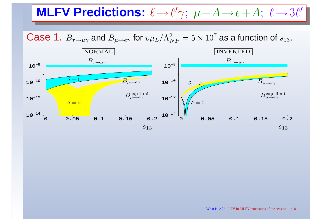### **MLFV Predictions:**ℓ→ℓ′ $\gamma;\,\,\mu\!+\!A\!\to\!e\!+\!A;\,\,\ell$  $\rightarrow$  3 $\ell'$

 $\bf Case~1.~$   $B_{\tau \to \mu \gamma}$  and  $B_{\mu \to e \gamma}$  for  $v \mu$  $_L/\Lambda^2_N$  $N P$  $_{P} = 5 \times 10^{7}$  as a function of  $s_{13}$ .

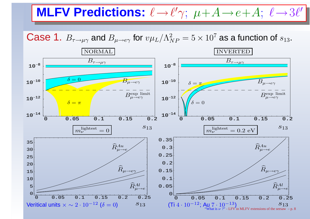### **MLFV Predictions:**ℓ→ℓ′ $\gamma;\,\,\mu\!+\!A\!\to\!e\!+\!A;\,\,\ell$  $\rightarrow$  3 $\ell'$

 $\bf Case~1.~$   $B_{\tau \to \mu \gamma}$  and  $B_{\mu \to e \gamma}$  for  $v \mu$  $_L/\Lambda^2_N$  $N P$  $_{P} = 5 \times 10^{7}$  as a function of  $s_{13}$ .

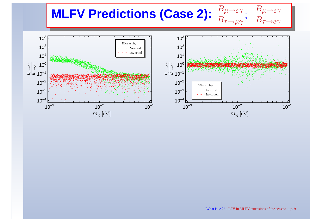### **MLFV Predictions (Case 2):**  $\, B \,$  $\mu$  $\frac{D\mu \rightarrow e\gamma}{B\tau \rightarrow \mu \gamma}$ .<br>,  $\, B \,$  $\mu$  $\frac{D\mu \rightarrow e\gamma}{B\tau \rightarrow e\gamma}$

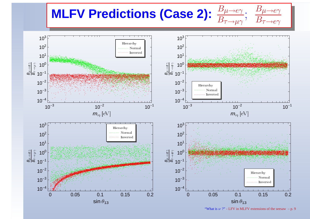### **MLFV Predictions (Case 2):**  $\, B \,$  $\mu$  $\frac{D\mu \rightarrow e\gamma}{B\tau \rightarrow \mu \gamma}$ .<br>,  $\, B \,$  $\mu$  $\frac{D\mu \rightarrow e\gamma}{B\tau \rightarrow e\gamma}$

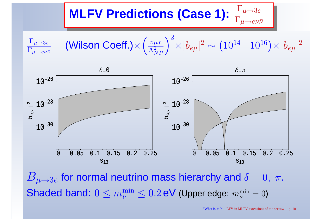### **MLFV Predictions (Case 1):**Γ $\frac{1}{\pi}\mu$  $\longrightarrow$ 3e $\Gamma_{\mu \to e \nu \bar{\nu}}$





 $\boldsymbol{B}$  $\sim$  $\mu{\rightarrow}3e$ Shaded band:  $0 \leq m_{\nu}^{\rm min} \leq 0.2$  eV (Upper edge:  $m_{\nu}^{\rm min}$  $_e$  for normal neutrino mass hierarchy and  $\delta=0,~\pi.$  $\frac{\min}{\nu} = 0$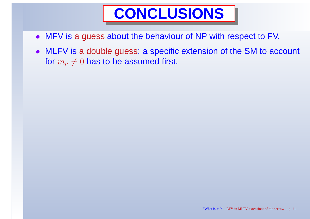- MFV is <sup>a</sup> guess about the behaviour of NP with respect to FV.
- MLFV is <sup>a</sup> double guess: <sup>a</sup> specific extension of the SM to account for  $m_\nu$  $\neq 0$  has to be assumed first.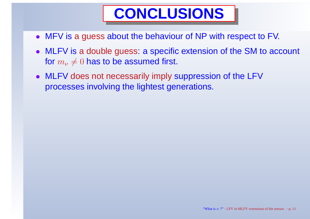- MFV is <sup>a</sup> guess about the behaviour of NP with respect to FV.
- MLFV is <sup>a</sup> double guess: <sup>a</sup> specific extension of the SM to account for  $m_\nu$  $\neq 0$  has to be assumed first.
- MLFV does not necessarily imply suppression of the LFV processes involving the lightest generations.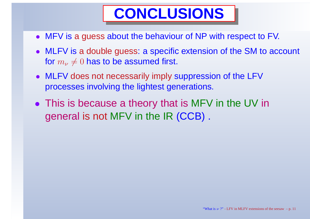- MFV is <sup>a</sup> guess about the behaviour of NP with respect to FV.
- MLFV is <sup>a</sup> double guess: <sup>a</sup> specific extension of the SM to account for  $m_\nu$  $\neq 0$  has to be assumed first.
- MLFV does not necessarily imply suppression of the LFV processes involving the lightest generations.
- This is because a theory that is MFV in the UV in general is not MFV in the IR (CCB) .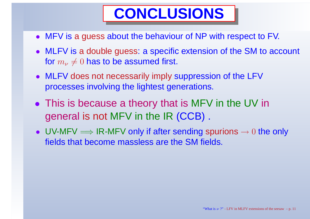- MFV is <sup>a</sup> guess about the behaviour of NP with respect to FV.
- MLFV is <sup>a</sup> double guess: <sup>a</sup> specific extension of the SM to account for  $m_\nu$  $\neq 0$  has to be assumed first.
- MLFV does not necessarily imply suppression of the LFV processes involving the lightest generations.
- This is because a theory that is MFV in the UV in general is not MFV in the IR (CCB) .
- UV-MFV  $\Longrightarrow$  IR-MFV only if after sending spurions  $\rightarrow 0$  the only fields that become massless are the SM fields fields that become massless are the SM fields.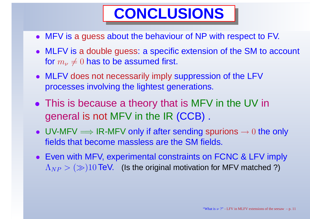- MFV is <sup>a</sup> guess about the behaviour of NP with respect to FV.
- MLFV is <sup>a</sup> double guess: <sup>a</sup> specific extension of the SM to account for  $m_\nu$  $\neq 0$  has to be assumed first.
- MLFV does not necessarily imply suppression of the LFV processes involving the lightest generations.
- This is because a theory that is MFV in the UV in general is not MFV in the IR (CCB) .
- UV-MFV  $\Longrightarrow$  IR-MFV only if after sending spurions  $\rightarrow 0$  the only fields that become massless are the SM fields fields that become massless are the SM fields.
- Even with MFV, experimental constraints on FCNC & LFV imply  $\Lambda_{NP}>(\gg)10$  TeV.  $\;$  (Is the original motivation for MFV matched ?)